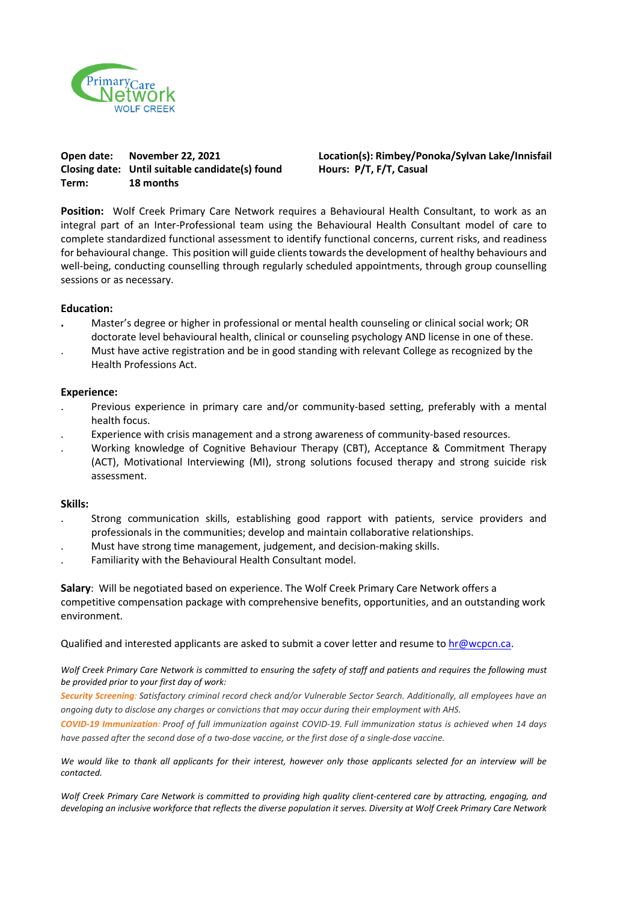

**Closing date: Until suitable candidate(s) found Hours: P/T, F/T, Casual Term: 18 months** 

**Open date: November 22, 2021 Location(s): Rimbey/Ponoka/Sylvan Lake/Innisfail**

**Position:** Wolf Creek Primary Care Network requires a Behavioural Health Consultant, to work as an integral part of an Inter-Professional team using the Behavioural Health Consultant model of care to complete standardized functional assessment to identify functional concerns, current risks, and readiness for behavioural change. This position will guide clients towards the development of healthy behaviours and well-being, conducting counselling through regularly scheduled appointments, through group counselling sessions or as necessary.

## **Education:**

- **.** Master's degree or higher in professional or mental health counseling or clinical social work; OR doctorate level behavioural health, clinical or counseling psychology AND license in one of these.
- . Must have active registration and be in good standing with relevant College as recognized by the Health Professions Act.

## **Experience:**

- . Previous experience in primary care and/or community-based setting, preferably with a mental health focus.
- . Experience with crisis management and a strong awareness of community-based resources.
- . Working knowledge of Cognitive Behaviour Therapy (CBT), Acceptance & Commitment Therapy (ACT), Motivational Interviewing (MI), strong solutions focused therapy and strong suicide risk assessment.

## **Skills:**

- . Strong communication skills, establishing good rapport with patients, service providers and professionals in the communities; develop and maintain collaborative relationships.
- . Must have strong time management, judgement, and decision-making skills.
- . Familiarity with the Behavioural Health Consultant model.

**Salary**: Will be negotiated based on experience. The Wolf Creek Primary Care Network offers a competitive compensation package with comprehensive benefits, opportunities, and an outstanding work environment.

Qualified and interested applicants are asked to submit a cover letter and resume t[o hr@wcpcn.ca.](mailto:hr@wcpcn.ca.%5C)

*Wolf Creek Primary Care Network is committed to ensuring the safety of staff and patients and requires the following must be provided prior to your first day of work:*

Security Screening: Satisfactory criminal record check and/or Vulnerable Sector Search. Additionally, all employees have an *ongoing duty to disclose any charges or convictions that may occur during their employment with AHS.*

**COVID-19 Immunization:** Proof of full immunization against COVID-19. Full immunization status is achieved when 14 days have passed after the second dose of a two-dose vaccine, or the first dose of a single-dose vaccine.

*We would like to thank all applicants for their interest, however only those applicants selected for an interview will be contacted.*

*Wolf Creek Primary Care Network is committed to providing high quality client-centered care by attracting, engaging, and developing an inclusive workforce that reflects the diverse population it serves. Diversity at Wolf Creek Primary Care Network*